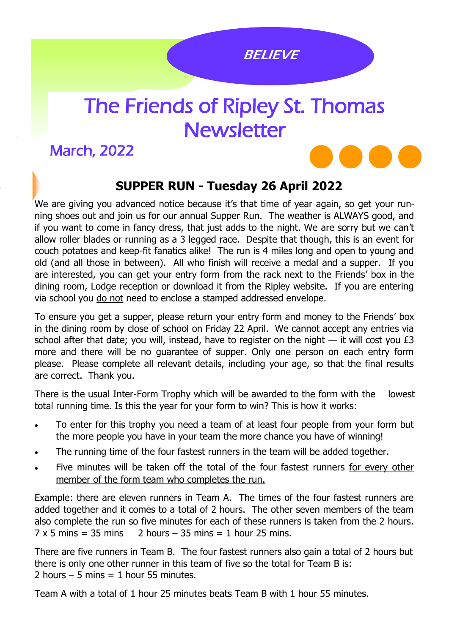l

## The Friends of Ripley St. Thomas **Newsletter**

March, 2022

## **SUPPER RUN - Tuesday 26 April 2022**

We are giving you advanced notice because it's that time of year again, so get your running shoes out and join us for our annual Supper Run. The weather is ALWAYS good, and if you want to come in fancy dress, that just adds to the night. We are sorry but we can't allow roller blades or running as a 3 legged race. Despite that though, this is an event for couch potatoes and keep-fit fanatics alike! The run is 4 miles long and open to young and old (and all those in between). All who finish will receive a medal and a supper. If you are interested, you can get your entry form from the rack next to the Friends' box in the dining room, Lodge reception or download it from the Ripley website. If you are entering via school you do not need to enclose a stamped addressed envelope.

To ensure you get a supper, please return your entry form and money to the Friends' box in the dining room by close of school on Friday 22 April. We cannot accept any entries via school after that date; you will, instead, have to register on the night  $-$  it will cost you  $E3$ more and there will be no guarantee of supper. Only one person on each entry form please. Please complete all relevant details, including your age, so that the final results are correct. Thank you.

There is the usual Inter-Form Trophy which will be awarded to the form with the lowest total running time. Is this the year for your form to win? This is how it works:

- To enter for this trophy you need a team of at least four people from your form but the more people you have in your team the more chance you have of winning!
- The running time of the four fastest runners in the team will be added together.
- Five minutes will be taken off the total of the four fastest runners for every other member of the form team who completes the run.

Example: there are eleven runners in Team A. The times of the four fastest runners are added together and it comes to a total of 2 hours. The other seven members of the team also complete the run so five minutes for each of these runners is taken from the 2 hours.  $7 \times 5$  mins = 35 mins  $\frac{2 \text{ hours}}{2 \text{ hours}}$  2 hours – 35 mins = 1 hour 25 mins.

There are five runners in Team B. The four fastest runners also gain a total of 2 hours but there is only one other runner in this team of five so the total for Team B is: 2 hours  $-5$  mins  $= 1$  hour 55 minutes.

Team A with a total of 1 hour 25 minutes beats Team B with 1 hour 55 minutes.